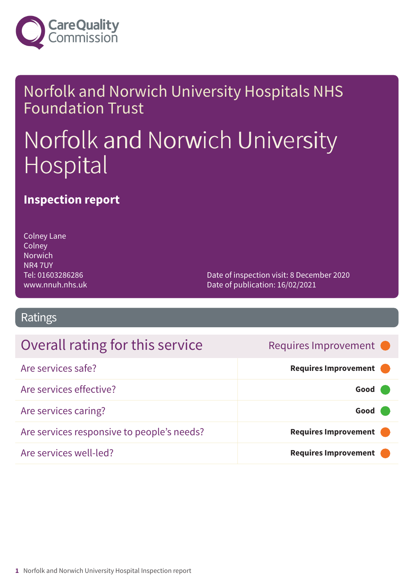

### Norfolk and Norwich University Hospitals NHS Foundation Trust

# Norfolk and Norwich University Hospital

### **Inspection report**

Colney Lane **Colney** Norwich NR4 7UY Tel: 01603286286 www.nnuh.nhs.uk

Date of inspection visit: 8 December 2020 Date of publication: 16/02/2021

### Ratings

### Overall rating for this service **Example 20 Requires Improvement**

| Are services safe?                         | Requires Improvement |
|--------------------------------------------|----------------------|
| Are services effective?                    | Good                 |
| Are services caring?                       | Good                 |
| Are services responsive to people's needs? | Requires Improvement |
| Are services well-led?                     | Requires Improvement |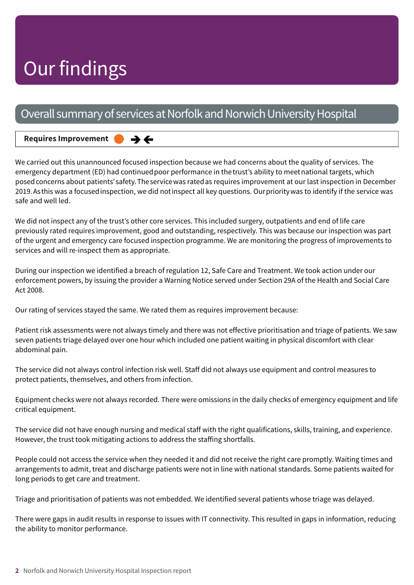# Our findings

### Overall summary of services at Norfolk and Norwich University Hospital

#### **Requires Improvement –––**  $\rightarrow$   $\leftarrow$

We carried out this unannounced focused inspection because we had concerns about the quality of services. The emergency department (ED) had continued poor performance in the trust's ability to meet national targets, which posedconcerns about patients'safety.Theservicewas ratedas requires improvement at our last inspection in December 2019.Asthis was a focusedinspection, we did notinspect all key questions. Ourprioritywas to identify if the service was safe and well led.

We did not inspect any of the trust's other core services. This included surgery, outpatients and end of life care previously rated requires improvement, good and outstanding, respectively. This was because our inspection was part of the urgent and emergency care focused inspection programme. We are monitoring the progress of improvements to services and will re-inspect them as appropriate.

During our inspection we identified a breach of regulation 12, Safe Care and Treatment. We took action under our enforcement powers, by issuing the provider a Warning Notice served under Section 29A of the Health and Social Care Act 2008.

Our rating of services stayed the same. We rated them as requires improvement because:

Patient risk assessments were not always timely and there was not effective prioritisation and triage of patients. We saw seven patients triage delayed over one hour which included one patient waiting in physical discomfort with clear abdominal pain.

The service did not always control infection risk well. Staff did not always use equipment and control measures to protect patients, themselves, and others from infection.

Equipment checks were not always recorded. There were omissions in the daily checks of emergency equipment and life critical equipment.

The service did not have enough nursing and medical staff with the right qualifications, skills, training, and experience. However, the trust took mitigating actions to address the staffing shortfalls.

People could not access the service when they needed it and did not receive the right care promptly. Waiting times and arrangements to admit, treat and discharge patients were not in line with national standards. Some patients waited for long periods to get care and treatment.

Triage and prioritisation of patients was not embedded. We identified several patients whose triage was delayed.

There were gaps in audit results in response to issues with IT connectivity. This resulted in gaps in information, reducing the ability to monitor performance.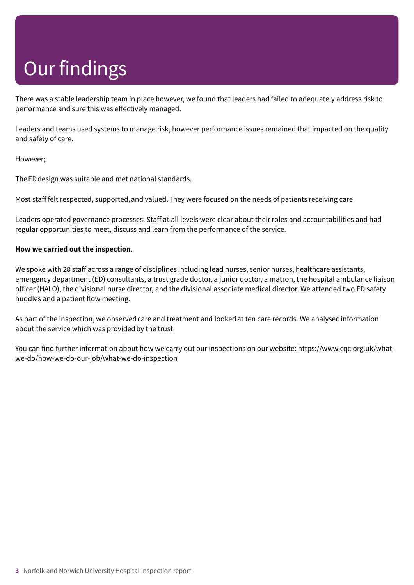# Our findings

There was a stable leadership team in place however, we found that leaders had failed to adequately address risk to performance and sure this was effectively managed.

Leaders and teams used systems to manage risk, however performance issues remained that impacted on the quality and safety of care.

However;

TheEDdesign was suitable and met national standards.

Most staff felt respected, supported,and valued.They were focused on the needs of patients receiving care.

Leaders operated governance processes. Staff at all levels were clear about their roles and accountabilities and had regular opportunities to meet, discuss and learn from the performance of the service.

#### **How we carried out the inspection**.

We spoke with 28 staff across a range of disciplines including lead nurses, senior nurses, healthcare assistants, emergency department (ED) consultants, a trust grade doctor, a junior doctor, a matron, the hospital ambulance liaison officer (HALO), the divisional nurse director, and the divisional associate medical director. We attended two ED safety huddles and a patient flow meeting.

As part of the inspection, we observedcare and treatment and lookedat ten care records. We analysedinformation about the service which was provided by the trust.

You can find further information about how we carry out our inspections on our website: https://www.cqc.org.uk/whatwe-do/how-we-do-our-job/what-we-do-inspection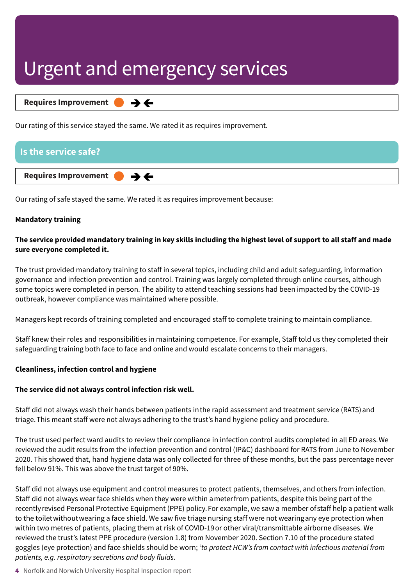**Requires Improvement –––**  $\rightarrow$   $\leftarrow$ 

Our rating of this service stayed the same. We rated it as requires improvement.

#### **Is the service safe?**

#### **Requires Improvement –––**

Our rating of safe stayed the same. We rated it as requires improvement because:

 $\rightarrow$   $\leftarrow$ 

#### **Mandatory training**

#### The service provided mandatory training in key skills including the highest level of support to all staff and made **sure everyone completed it.**

The trust provided mandatory training to staff in several topics, including child and adult safeguarding, information governance and infection prevention and control. Training was largely completed through online courses, although some topics were completed in person. The ability to attend teaching sessions had been impacted by the COVID-19 outbreak, however compliance was maintained where possible.

Managers kept records of training completed and encouraged staff to complete training to maintain compliance.

Staff knew their roles and responsibilities in maintaining competence. For example, Staff told us they completed their safeguarding training both face to face and online and would escalate concerns to their managers.

#### **Cleanliness, infection control and hygiene**

#### **The service did not always control infection risk well.**

Staff did not always wash their hands between patients inthe rapid assessment and treatment service (RATS)and triage.This meant staff were not always adhering to the trust's hand hygiene policy and procedure.

The trust used perfect ward audits to review their compliance in infection control audits completed in all ED areas.We reviewed the audit results from the infection prevention and control (IP&C) dashboard for RATS from June to November 2020. This showed that, hand hygiene data was only collected for three of these months, but the pass percentage never fell below 91%. This was above the trust target of 90%.

Staff did not always use equipment and control measures to protect patients, themselves, and others from infection. Staff did not always wear face shields when they were within ameterfrom patients, despite this being part of the recentlyrevised Personal Protective Equipment (PPE) policy.For example, we saw a member ofstaff help a patient walk to the toiletwithoutwearing a face shield. We saw five triage nursing staff were not wearingany eye protection when within two metres of patients, placing them at risk of COVID-19or other viral/transmittable airborne diseases. We reviewed the trust's latest PPE procedure (version 1.8) from November 2020. Section 7.10 of the procedure stated goggles (eye protection) and face shields should be worn; '*to protect HCW's from contact with infectious material from patients, e.g. respiratory secretions and body fluids*.

**4** Norfolk and Norwich University Hospital Inspection report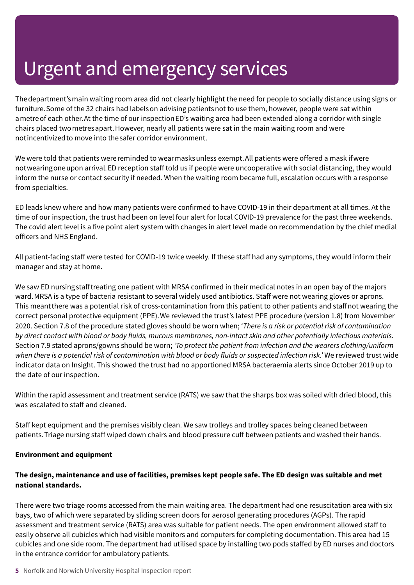Thedepartment'smain waiting room area did not clearly highlight the need for people to socially distance using signs or furniture.Some of the 32 chairs had labelson advising patientsnot to use them, however, people were sat within ametreof each other.At the time of our inspectionED's waiting area had been extended along a corridor with single chairs placed twometresapart.However, nearly all patients were sat in the main waiting room and were notincentivizedto move into thesafer corridor environment.

We were told that patients were reminded to wear masks unless exempt. All patients were offered a mask if were notwearingoneupon arrival.ED reception staff told us if people were uncooperative with social distancing, they would inform the nurse or contact security if needed. When the waiting room became full, escalation occurs with a response from specialties.

ED leads knew where and how many patients were confirmed to have COVID-19 in their department at all times. At the time of our inspection, the trust had been on level four alert for local COVID-19 prevalence for the past three weekends. The covid alert level is a five point alert system with changes in alert level made on recommendation by the chief medial officers and NHS England.

All patient-facing staff were tested for COVID-19 twice weekly. If these staff had any symptoms, they would inform their manager and stay at home.

We saw ED nursingstafftreating one patient with MRSA confirmed in their medical notes in an open bay of the majors ward.MRSA is a type of bacteria resistant to several widely used antibiotics. Staff were not wearing gloves or aprons. This meantthere was a potential risk of cross-contamination from this patient to other patients and staffnot wearing the correct personal protective equipment (PPE).We reviewed the trust's latest PPE procedure (version 1.8) from November 2020. Section 7.8 of the procedure stated gloves should be worn when; '*There is a risk or potential risk of contamination* by direct contact with blood or body fluids, mucous membranes, non-intact skin and other potentially infectious materials. Section 7.9 stated aprons/gowns should be worn; *'To protect the patient from infection and the wearers clothing/uniform* when there is a potential risk of contamination with blood or body fluids or suspected infection risk.' We reviewed trust wide indicator data on Insight. This showed the trust had no apportioned MRSA bacteraemia alerts since October 2019 up to the date of our inspection.

Within the rapid assessment and treatment service (RATS) we saw that the sharps box was soiled with dried blood, this was escalated to staff and cleaned.

Staff kept equipment and the premises visibly clean. We saw trolleys and trolley spaces being cleaned between patients.Triage nursing staff wiped down chairs and blood pressure cuff between patients and washed their hands.

#### **Environment and equipment**

#### The design, maintenance and use of facilities, premises kept people safe. The ED design was suitable and met **national standards.**

There were two triage rooms accessed from the main waiting area. The department had one resuscitation area with six bays, two of which were separated by sliding screen doors for aerosol generating procedures (AGPs). The rapid assessment and treatment service (RATS) area was suitable for patient needs. The open environment allowed staff to easily observe all cubicles which had visible monitors and computers for completing documentation. This area had 15 cubicles and one side room. The department had utilised space by installing two pods staffed by ED nurses and doctors in the entrance corridor for ambulatory patients.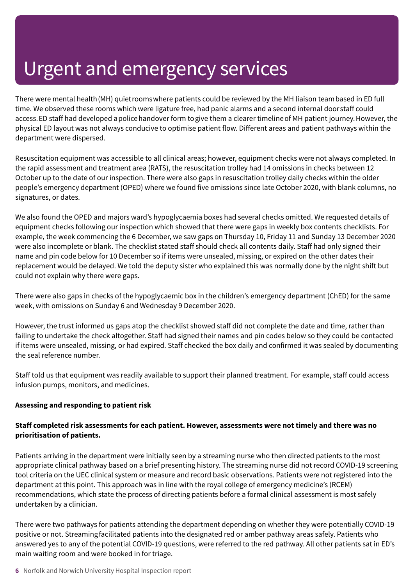There were mental health(MH) quietroomswhere patients could be reviewed by the MH liaison teambased in ED full time. We observed these rooms which were ligature free, had panic alarms and a second internal doorstaff could access.ED staff had developed apolicehandover form togive them a clearer timelineof MH patient journey.However, the physical ED layout was not always conducive to optimise patient flow. Different areas and patient pathways within the department were dispersed.

Resuscitation equipment was accessible to all clinical areas; however, equipment checks were not always completed. In the rapid assessment and treatment area (RATS), the resuscitation trolley had 14 omissions in checks between 12 October up to the date of our inspection. There were also gaps in resuscitation trolley daily checks within the older people's emergency department (OPED) where we found five omissions since late October 2020, with blank columns, no signatures, or dates.

We also found the OPED and majors ward's hypoglycaemia boxes had several checks omitted. We requested details of equipment checks following our inspection which showed that there were gaps in weekly box contents checklists. For example, the week commencing the 6 December, we saw gaps on Thursday 10, Friday 11 and Sunday 13 December 2020 were also incomplete or blank. The checklist stated staff should check all contents daily. Staff had only signed their name and pin code below for 10 December so if items were unsealed, missing, or expired on the other dates their replacement would be delayed. We told the deputy sister who explained this was normally done by the night shift but could not explain why there were gaps.

There were also gaps in checks of the hypoglycaemic box in the children's emergency department (ChED) for the same week, with omissions on Sunday 6 and Wednesday 9 December 2020.

However, the trust informed us gaps atop the checklist showed staff did not complete the date and time, rather than failing to undertake the check altogether. Staff had signed their names and pin codes below so they could be contacted if items were unsealed, missing, or had expired. Staff checked the box daily and confirmed it was sealed by documenting the seal reference number.

Staff told us that equipment was readily available to support their planned treatment. For example, staff could access infusion pumps, monitors, and medicines.

#### **Assessing and responding to patient risk**

#### **Staff completed risk assessments for each patient. However, assessments were not timely and there was no prioritisation of patients.**

Patients arriving in the department were initially seen by a streaming nurse who then directed patients to the most appropriate clinical pathway based on a brief presenting history. The streaming nurse did not record COVID-19 screening tool criteria on the UEC clinical system or measure and record basic observations. Patients were not registered into the department at this point. This approach was in line with the royal college of emergency medicine's (RCEM) recommendations, which state the process of directing patients before a formal clinical assessment is most safely undertaken by a clinician.

There were two pathways for patients attending the department depending on whether they were potentially COVID-19 positive or not. Streamingfacilitated patients into the designated red or amber pathway areas safely. Patients who answered yes to any of the potential COVID-19 questions, were referred to the red pathway. All other patients sat in ED's main waiting room and were booked in for triage.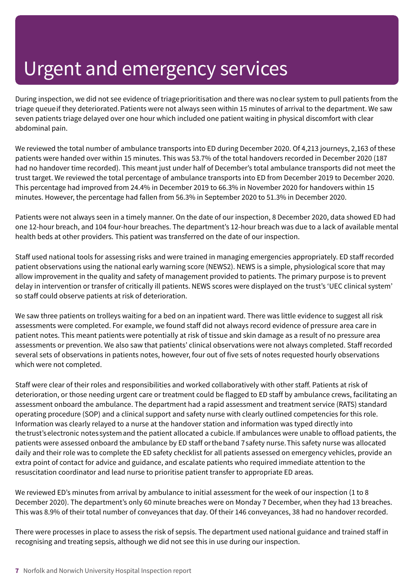During inspection, we did not see evidence of triage prioritisation and there was noclear system to pull patients from the triage queue if they deteriorated. Patients were not always seen within 15 minutes of arrival to the department. We saw seven patients triage delayed over one hour which included one patient waiting in physical discomfort with clear abdominal pain.

We reviewed the total number of ambulance transports into ED during December 2020. Of 4,213 journeys, 2,163 of these patients were handed over within 15 minutes. This was 53.7% of the total handovers recorded in December 2020 (187 had no handover time recorded). This meant just under half of December's total ambulance transports did not meet the trust target. We reviewed the total percentage of ambulance transports into ED from December 2019 to December 2020. This percentage had improved from 24.4% in December 2019 to 66.3% in November 2020 for handovers within 15 minutes. However, the percentage had fallen from 56.3% in September 2020 to 51.3% in December 2020.

Patients were not always seen in a timely manner. On the date of our inspection, 8 December 2020, data showed ED had one 12-hour breach, and 104 four-hour breaches. The department's 12-hour breach was due to a lack of available mental health beds at other providers. This patient was transferred on the date of our inspection.

Staff used national tools for assessing risks and were trained in managing emergencies appropriately. ED staff recorded patient observations using the national early warning score (NEWS2). NEWS is a simple, physiological score that may allow improvement in the quality and safety of management provided to patients. The primary purpose is to prevent delay in intervention or transfer of critically ill patients. NEWS scores were displayed on the trust's 'UEC clinical system' so staff could observe patients at risk of deterioration.

We saw three patients on trolleys waiting for a bed on an inpatient ward. There was little evidence to suggest all risk assessments were completed. For example, we found staff did not always record evidence of pressure area care in patient notes. This meant patients were potentially at risk of tissue and skin damage as a result of no pressure area assessments or prevention. We also saw that patients' clinical observations were not always completed. Staff recorded several sets of observations in patients notes, however, four out of five sets of notes requested hourly observations which were not completed.

Staff were clear of their roles and responsibilities and worked collaboratively with other staff. Patients at risk of deterioration, or those needing urgent care or treatment could be flagged to ED staff by ambulance crews, facilitating an assessment onboard the ambulance. The department had a rapid assessment and treatment service (RATS) standard operating procedure (SOP) and a clinical support and safety nurse with clearly outlined competencies for this role. Information was clearly relayed to a nurse at the handover station and information was typed directly into thetrust'selectronic notessystemand the patient allocated a cubicle.If ambulances were unable to offload patients, the patients were assessed onboard the ambulance by ED staff ortheband 7safety nurse.This safety nurse was allocated daily and their role was to complete the ED safety checklist for all patients assessed on emergency vehicles, provide an extra point of contact for advice and guidance, and escalate patients who required immediate attention to the resuscitation coordinator and lead nurse to prioritise patient transfer to appropriate ED areas.

We reviewed ED's minutes from arrival by ambulance to initial assessment for the week of our inspection (1 to 8 December 2020). The department's only 60 minute breaches were on Monday 7 December, when they had 13 breaches. This was 8.9% of their total number of conveyances that day. Of their 146 conveyances, 38 had no handover recorded.

There were processes in place to assess the risk of sepsis. The department used national guidance and trained staff in recognising and treating sepsis, although we did not see this in use during our inspection.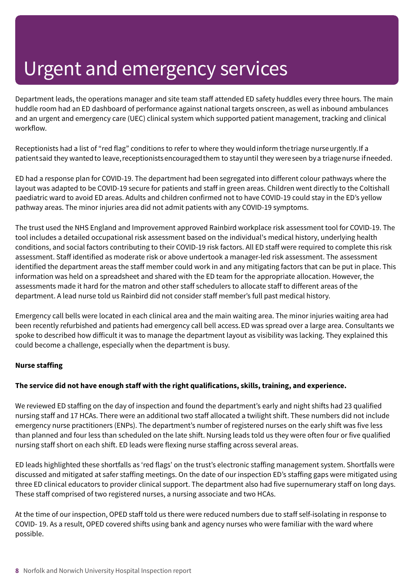Department leads, the operations manager and site team staff attended ED safety huddles every three hours. The main huddle room had an ED dashboard of performance against national targets onscreen, as well as inbound ambulances and an urgent and emergency care (UEC) clinical system which supported patient management, tracking and clinical workflow.

Receptionists had a list of "red flag" conditions to refer to where they would inform the triage nurseurgently. If a patientsaid they wanted to leave, receptionistsencouraged them to stay until they were seen by a triage nurse if needed.

ED had a response plan for COVID-19. The department had been segregated into different colour pathways where the layout was adapted to be COVID-19 secure for patients and staff in green areas. Children went directly to the Coltishall paediatric ward to avoid ED areas. Adults and children confirmed not to have COVID-19 could stay in the ED's yellow pathway areas. The minor injuries area did not admit patients with any COVID-19 symptoms.

The trust used the NHS England and Improvement approved Rainbird workplace risk assessment tool for COVID-19. The tool includes a detailed occupational risk assessment based on the individual's medical history, underlying health conditions, and social factors contributing to their COVID-19 risk factors. All ED staff were required to complete this risk assessment. Staff identified as moderate risk or above undertook a manager-led risk assessment. The assessment identified the department areas the staff member could work in and any mitigating factors that can be put in place. This information was held on a spreadsheet and shared with the ED team for the appropriate allocation. However, the assessments made it hard for the matron and other staff schedulers to allocate staff to different areas of the department. A lead nurse told us Rainbird did not consider staff member's full past medical history.

Emergency call bells were located in each clinical area and the main waiting area. The minor injuries waiting area had been recently refurbished and patients had emergency call bell access.ED was spread over a large area. Consultants we spoke to described how difficult it was to manage the department layout as visibility was lacking. They explained this could become a challenge, especially when the department is busy.

#### **Nurse staffing**

#### **The service did not have enough staff with the right qualifications, skills, training, and experience.**

We reviewed ED staffing on the day of inspection and found the department's early and night shifts had 23 qualified nursing staff and 17 HCAs. There were an additional two staff allocated a twilight shift. These numbers did not include emergency nurse practitioners (ENPs). The department's number of registered nurses on the early shift was five less than planned and four less than scheduled on the late shift. Nursing leads told us they were often four or five qualified nursing staff short on each shift. ED leads were flexing nurse staffing across several areas.

ED leads highlighted these shortfalls as 'red flags' on the trust's electronic staffing management system. Shortfalls were discussed and mitigated at safer staffing meetings. On the date of our inspection ED's staffing gaps were mitigated using three ED clinical educators to provider clinical support. The department also had five supernumerary staff on long days. These staff comprised of two registered nurses, a nursing associate and two HCAs.

At the time of our inspection, OPED staff told us there were reduced numbers due to staff self-isolating in response to COVID- 19. As a result, OPED covered shifts using bank and agency nurses who were familiar with the ward where possible.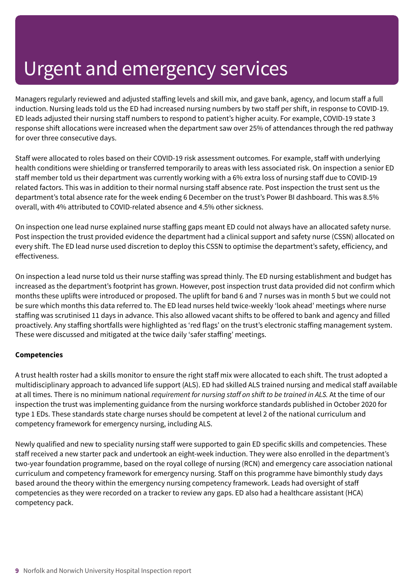Managers regularly reviewed and adjusted staffing levels and skill mix, and gave bank, agency, and locum staff a full induction. Nursing leads told us the ED had increased nursing numbers by two staff per shift, in response to COVID-19. ED leads adjusted their nursing staff numbers to respond to patient's higher acuity. For example, COVID-19 state 3 response shift allocations were increased when the department saw over 25% of attendances through the red pathway for over three consecutive days.

Staff were allocated to roles based on their COVID-19 risk assessment outcomes. For example, staff with underlying health conditions were shielding or transferred temporarily to areas with less associated risk. On inspection a senior ED staff member told us their department was currently working with a 6% extra loss of nursing staff due to COVID-19 related factors. This was in addition to their normal nursing staff absence rate. Post inspection the trust sent us the department's total absence rate for the week ending 6 December on the trust's Power BI dashboard. This was 8.5% overall, with 4% attributed to COVID-related absence and 4.5% other sickness.

On inspection one lead nurse explained nurse staffing gaps meant ED could not always have an allocated safety nurse. Post inspection the trust provided evidence the department had a clinical support and safety nurse (CSSN) allocated on every shift. The ED lead nurse used discretion to deploy this CSSN to optimise the department's safety, efficiency, and effectiveness.

On inspection a lead nurse told us their nurse staffing was spread thinly. The ED nursing establishment and budget has increased as the department's footprint has grown. However, post inspection trust data provided did not confirm which months these uplifts were introduced or proposed. The uplift for band 6 and 7 nurses was in month 5 but we could not be sure which months this data referred to. The ED lead nurses held twice-weekly 'look ahead' meetings where nurse staffing was scrutinised 11 days in advance. This also allowed vacant shifts to be offered to bank and agency and filled proactively. Any staffing shortfalls were highlighted as 'red flags' on the trust's electronic staffing management system. These were discussed and mitigated at the twice daily 'safer staffing' meetings.

#### **Competencies**

A trust health roster had a skills monitor to ensure the right staff mix were allocated to each shift. The trust adopted a multidisciplinary approach to advanced life support (ALS). ED had skilled ALS trained nursing and medical staff available at all times. There is no minimum national *requirement for nursing staff on shift to be trained in ALS.* At the time of our inspection the trust was implementing guidance from the nursing workforce standards published in October 2020 for type 1 EDs. These standards state charge nurses should be competent at level 2 of the national curriculum and competency framework for emergency nursing, including ALS.

Newly qualified and new to speciality nursing staff were supported to gain ED specific skills and competencies. These staff received a new starter pack and undertook an eight-week induction. They were also enrolled in the department's two-year foundation programme, based on the royal college of nursing (RCN) and emergency care association national curriculum and competency framework for emergency nursing. Staff on this programme have bimonthly study days based around the theory within the emergency nursing competency framework. Leads had oversight of staff competencies as they were recorded on a tracker to review any gaps. ED also had a healthcare assistant (HCA) competency pack.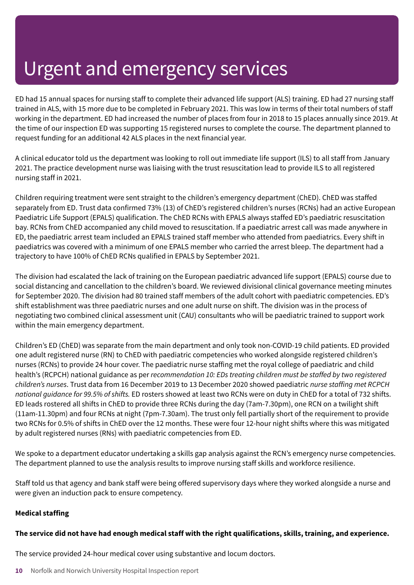ED had 15 annual spaces for nursing staff to complete their advanced life support (ALS) training. ED had 27 nursing staff trained in ALS, with 15 more due to be completed in February 2021. This was low in terms of their total numbers of staff working in the department. ED had increased the number of places from four in 2018 to 15 places annually since 2019. At the time of our inspection ED was supporting 15 registered nurses to complete the course. The department planned to request funding for an additional 42 ALS places in the next financial year.

A clinical educator told us the department was looking to roll out immediate life support (ILS) to all staff from January 2021. The practice development nurse was liaising with the trust resuscitation lead to provide ILS to all registered nursing staff in 2021.

Children requiring treatment were sent straight to the children's emergency department (ChED). ChED was staffed separately from ED. Trust data confirmed 73% (13) of ChED's registered children's nurses (RCNs) had an active European Paediatric Life Support (EPALS) qualification. The ChED RCNs with EPALS always staffed ED's paediatric resuscitation bay. RCNs from ChED accompanied any child moved to resuscitation. If a paediatric arrest call was made anywhere in ED, the paediatric arrest team included an EPALS trained staff member who attended from paediatrics. Every shift in paediatrics was covered with a minimum of one EPALS member who carried the arrest bleep. The department had a trajectory to have 100% of ChED RCNs qualified in EPALS by September 2021.

The division had escalated the lack of training on the European paediatric advanced life support (EPALS) course due to social distancing and cancellation to the children's board. We reviewed divisional clinical governance meeting minutes for September 2020. The division had 80 trained staff members of the adult cohort with paediatric competencies. ED's shift establishment was three paediatric nurses and one adult nurse on shift. The division was in the process of negotiating two combined clinical assessment unit (CAU) consultants who will be paediatric trained to support work within the main emergency department.

Children's ED (ChED) was separate from the main department and only took non-COVID-19 child patients. ED provided one adult registered nurse (RN) to ChED with paediatric competencies who worked alongside registered children's nurses (RCNs) to provide 24 hour cover. The paediatric nurse staffing met the royal college of paediatric and child health's (RCPCH) national guidance as per *recommendation 10: EDs treating children must be staffed by two registered children's nurses*. Trust data from 16 December 2019 to 13 December 2020 showed paediatric *nurse staffing met RCPCH national guidance for 99.5% of shifts.* ED rosters showed at least two RCNs were on duty in ChED for a total of 732 shifts. ED leads rostered all shifts in ChED to provide three RCNs during the day (7am-7.30pm), one RCN on a twilight shift (11am-11.30pm) and four RCNs at night (7pm-7.30am). The trust only fell partially short of the requirement to provide two RCNs for 0.5% of shifts in ChED over the 12 months. These were four 12-hour night shifts where this was mitigated by adult registered nurses (RNs) with paediatric competencies from ED.

We spoke to a department educator undertaking a skills gap analysis against the RCN's emergency nurse competencies. The department planned to use the analysis results to improve nursing staff skills and workforce resilience.

Staff told us that agency and bank staff were being offered supervisory days where they worked alongside a nurse and were given an induction pack to ensure competency.

#### **Medical staffing**

#### The service did not have had enough medical staff with the right qualifications, skills, training, and experience.

The service provided 24-hour medical cover using substantive and locum doctors.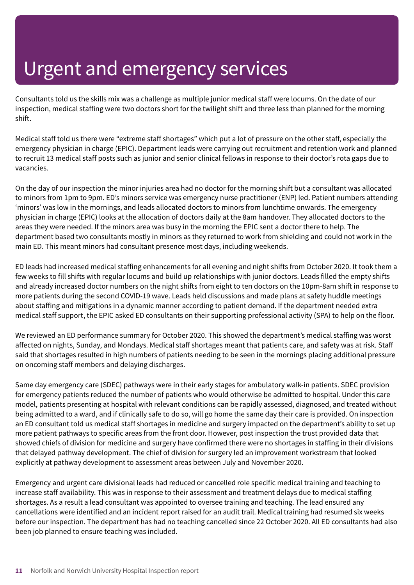Consultants told us the skills mix was a challenge as multiple junior medical staff were locums. On the date of our inspection, medical staffing were two doctors short for the twilight shift and three less than planned for the morning shift.

Medical staff told us there were "extreme staff shortages" which put a lot of pressure on the other staff, especially the emergency physician in charge (EPIC). Department leads were carrying out recruitment and retention work and planned to recruit 13 medical staff posts such as junior and senior clinical fellows in response to their doctor's rota gaps due to vacancies.

On the day of our inspection the minor injuries area had no doctor for the morning shift but a consultant was allocated to minors from 1pm to 9pm. ED's minors service was emergency nurse practitioner (ENP) led. Patient numbers attending 'minors' was low in the mornings, and leads allocated doctors to minors from lunchtime onwards. The emergency physician in charge (EPIC) looks at the allocation of doctors daily at the 8am handover. They allocated doctors to the areas they were needed. If the minors area was busy in the morning the EPIC sent a doctor there to help. The department based two consultants mostly in minors as they returned to work from shielding and could not work in the main ED. This meant minors had consultant presence most days, including weekends.

ED leads had increased medical staffing enhancements for all evening and night shifts from October 2020. It took them a few weeks to fill shifts with regular locums and build up relationships with junior doctors. Leads filled the empty shifts and already increased doctor numbers on the night shifts from eight to ten doctors on the 10pm-8am shift in response to more patients during the second COVID-19 wave. Leads held discussions and made plans at safety huddle meetings about staffing and mitigations in a dynamic manner according to patient demand. If the department needed extra medical staff support, the EPIC asked ED consultants on their supporting professional activity (SPA) to help on the floor.

We reviewed an ED performance summary for October 2020. This showed the department's medical staffing was worst affected on nights, Sunday, and Mondays. Medical staff shortages meant that patients care, and safety was at risk. Staff said that shortages resulted in high numbers of patients needing to be seen in the mornings placing additional pressure on oncoming staff members and delaying discharges.

Same day emergency care (SDEC) pathways were in their early stages for ambulatory walk-in patients. SDEC provision for emergency patients reduced the number of patients who would otherwise be admitted to hospital. Under this care model, patients presenting at hospital with relevant conditions can be rapidly assessed, diagnosed, and treated without being admitted to a ward, and if clinically safe to do so, will go home the same day their care is provided. On inspection an ED consultant told us medical staff shortages in medicine and surgery impacted on the department's ability to set up more patient pathways to specific areas from the front door. However, post inspection the trust provided data that showed chiefs of division for medicine and surgery have confirmed there were no shortages in staffing in their divisions that delayed pathway development. The chief of division for surgery led an improvement workstream that looked explicitly at pathway development to assessment areas between July and November 2020.

Emergency and urgent care divisional leads had reduced or cancelled role specific medical training and teaching to increase staff availability. This was in response to their assessment and treatment delays due to medical staffing shortages. As a result a lead consultant was appointed to oversee training and teaching. The lead ensured any cancellations were identified and an incident report raised for an audit trail. Medical training had resumed six weeks before our inspection. The department has had no teaching cancelled since 22 October 2020. All ED consultants had also been job planned to ensure teaching was included.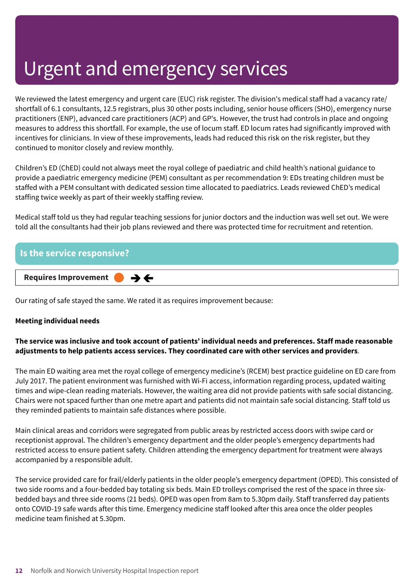We reviewed the latest emergency and urgent care (EUC) risk register. The division's medical staff had a vacancy rate/ shortfall of 6.1 consultants, 12.5 registrars, plus 30 other posts including, senior house officers (SHO), emergency nurse practitioners (ENP), advanced care practitioners (ACP) and GP's. However, the trust had controls in place and ongoing measures to address this shortfall. For example, the use of locum staff. ED locum rates had significantly improved with incentives for clinicians. In view of these improvements, leads had reduced this risk on the risk register, but they continued to monitor closely and review monthly.

Children's ED (ChED) could not always meet the royal college of paediatric and child health's national guidance to provide a paediatric emergency medicine (PEM) consultant as per recommendation 9: EDs treating children must be staffed with a PEM consultant with dedicated session time allocated to paediatrics. Leads reviewed ChED's medical staffing twice weekly as part of their weekly staffing review.

Medical staff told us they had regular teaching sessions for junior doctors and the induction was well set out. We were told all the consultants had their job plans reviewed and there was protected time for recruitment and retention.

| <b>Is the service responsive?</b>              |  |
|------------------------------------------------|--|
| Requires Improvement $\bullet \bullet \bullet$ |  |

Our rating of safe stayed the same. We rated it as requires improvement because:

#### **Meeting individual needs**

#### **The service was inclusive and took account of patients' individual needs and preferences. Staff made reasonable adjustments to help patients access services. They coordinated care with other services and providers**.

The main ED waiting area met the royal college of emergency medicine's (RCEM) best practice guideline on ED care from July 2017. The patient environment was furnished with Wi-Fi access, information regarding process, updated waiting times and wipe-clean reading materials. However, the waiting area did not provide patients with safe social distancing. Chairs were not spaced further than one metre apart and patients did not maintain safe social distancing. Staff told us they reminded patients to maintain safe distances where possible.

Main clinical areas and corridors were segregated from public areas by restricted access doors with swipe card or receptionist approval. The children's emergency department and the older people's emergency departments had restricted access to ensure patient safety. Children attending the emergency department for treatment were always accompanied by a responsible adult.

The service provided care for frail/elderly patients in the older people's emergency department (OPED). This consisted of two side rooms and a four-bedded bay totaling six beds. Main ED trolleys comprised the rest of the space in three sixbedded bays and three side rooms (21 beds). OPED was open from 8am to 5.30pm daily. Staff transferred day patients onto COVID-19 safe wards after this time. Emergency medicine staff looked after this area once the older peoples medicine team finished at 5.30pm.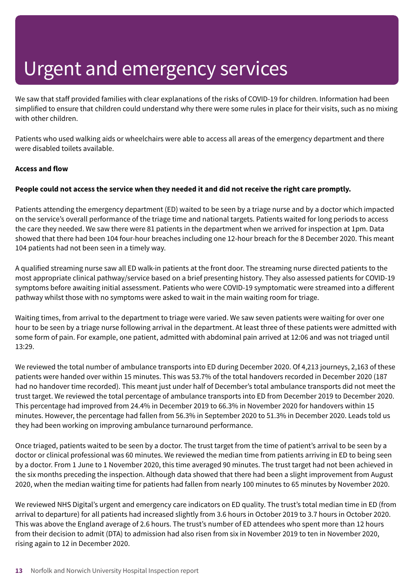We saw that staff provided families with clear explanations of the risks of COVID-19 for children. Information had been simplified to ensure that children could understand why there were some rules in place for their visits, such as no mixing with other children.

Patients who used walking aids or wheelchairs were able to access all areas of the emergency department and there were disabled toilets available.

#### **Access and flow**

#### People could not access the service when they needed it and did not receive the right care promptly.

Patients attending the emergency department (ED) waited to be seen by a triage nurse and by a doctor which impacted on the service's overall performance of the triage time and national targets. Patients waited for long periods to access the care they needed. We saw there were 81 patients in the department when we arrived for inspection at 1pm. Data showed that there had been 104 four-hour breaches including one 12-hour breach for the 8 December 2020. This meant 104 patients had not been seen in a timely way.

A qualified streaming nurse saw all ED walk-in patients at the front door. The streaming nurse directed patients to the most appropriate clinical pathway/service based on a brief presenting history. They also assessed patients for COVID-19 symptoms before awaiting initial assessment. Patients who were COVID-19 symptomatic were streamed into a different pathway whilst those with no symptoms were asked to wait in the main waiting room for triage.

Waiting times, from arrival to the department to triage were varied. We saw seven patients were waiting for over one hour to be seen by a triage nurse following arrival in the department. At least three of these patients were admitted with some form of pain. For example, one patient, admitted with abdominal pain arrived at 12:06 and was not triaged until 13:29.

We reviewed the total number of ambulance transports into ED during December 2020. Of 4,213 journeys, 2,163 of these patients were handed over within 15 minutes. This was 53.7% of the total handovers recorded in December 2020 (187 had no handover time recorded). This meant just under half of December's total ambulance transports did not meet the trust target. We reviewed the total percentage of ambulance transports into ED from December 2019 to December 2020. This percentage had improved from 24.4% in December 2019 to 66.3% in November 2020 for handovers within 15 minutes. However, the percentage had fallen from 56.3% in September 2020 to 51.3% in December 2020. Leads told us they had been working on improving ambulance turnaround performance.

Once triaged, patients waited to be seen by a doctor. The trust target from the time of patient's arrival to be seen by a doctor or clinical professional was 60 minutes. We reviewed the median time from patients arriving in ED to being seen by a doctor. From 1 June to 1 November 2020, this time averaged 90 minutes. The trust target had not been achieved in the six months preceding the inspection. Although data showed that there had been a slight improvement from August 2020, when the median waiting time for patients had fallen from nearly 100 minutes to 65 minutes by November 2020.

We reviewed NHS Digital's urgent and emergency care indicators on ED quality. The trust's total median time in ED (from arrival to departure) for all patients had increased slightly from 3.6 hours in October 2019 to 3.7 hours in October 2020. This was above the England average of 2.6 hours. The trust's number of ED attendees who spent more than 12 hours from their decision to admit (DTA) to admission had also risen from six in November 2019 to ten in November 2020, rising again to 12 in December 2020.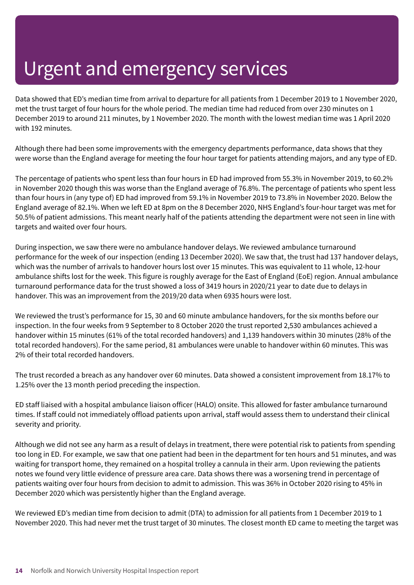Data showed that ED's median time from arrival to departure for all patients from 1 December 2019 to 1 November 2020, met the trust target of four hours for the whole period. The median time had reduced from over 230 minutes on 1 December 2019 to around 211 minutes, by 1 November 2020. The month with the lowest median time was 1 April 2020 with 192 minutes.

Although there had been some improvements with the emergency departments performance, data shows that they were worse than the England average for meeting the four hour target for patients attending majors, and any type of ED.

The percentage of patients who spent less than four hours in ED had improved from 55.3% in November 2019, to 60.2% in November 2020 though this was worse than the England average of 76.8%. The percentage of patients who spent less than four hours in (any type of) ED had improved from 59.1% in November 2019 to 73.8% in November 2020. Below the England average of 82.1%. When we left ED at 8pm on the 8 December 2020, NHS England's four-hour target was met for 50.5% of patient admissions. This meant nearly half of the patients attending the department were not seen in line with targets and waited over four hours.

During inspection, we saw there were no ambulance handover delays. We reviewed ambulance turnaround performance for the week of our inspection (ending 13 December 2020). We saw that, the trust had 137 handover delays, which was the number of arrivals to handover hours lost over 15 minutes. This was equivalent to 11 whole, 12-hour ambulance shifts lost for the week. This figure is roughly average for the East of England (EoE) region. Annual ambulance turnaround performance data for the trust showed a loss of 3419 hours in 2020/21 year to date due to delays in handover. This was an improvement from the 2019/20 data when 6935 hours were lost.

We reviewed the trust's performance for 15, 30 and 60 minute ambulance handovers, for the six months before our inspection. In the four weeks from 9 September to 8 October 2020 the trust reported 2,530 ambulances achieved a handover within 15 minutes (61% of the total recorded handovers) and 1,139 handovers within 30 minutes (28% of the total recorded handovers). For the same period, 81 ambulances were unable to handover within 60 minutes. This was 2% of their total recorded handovers.

The trust recorded a breach as any handover over 60 minutes. Data showed a consistent improvement from 18.17% to 1.25% over the 13 month period preceding the inspection.

ED staff liaised with a hospital ambulance liaison officer (HALO) onsite. This allowed for faster ambulance turnaround times. If staff could not immediately offload patients upon arrival, staff would assess them to understand their clinical severity and priority.

Although we did not see any harm as a result of delays in treatment, there were potential risk to patients from spending too long in ED. For example, we saw that one patient had been in the department for ten hours and 51 minutes, and was waiting for transport home, they remained on a hospital trolley a cannula in their arm. Upon reviewing the patients notes we found very little evidence of pressure area care. Data shows there was a worsening trend in percentage of patients waiting over four hours from decision to admit to admission. This was 36% in October 2020 rising to 45% in December 2020 which was persistently higher than the England average.

We reviewed ED's median time from decision to admit (DTA) to admission for all patients from 1 December 2019 to 1 November 2020. This had never met the trust target of 30 minutes. The closest month ED came to meeting the target was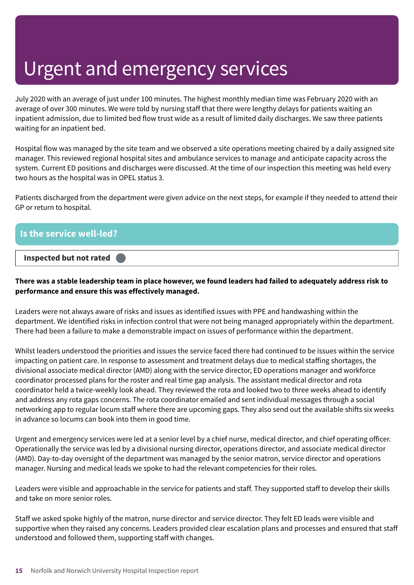July 2020 with an average of just under 100 minutes. The highest monthly median time was February 2020 with an average of over 300 minutes. We were told by nursing staff that there were lengthy delays for patients waiting an inpatient admission, due to limited bed flow trust wide as a result of limited daily discharges. We saw three patients waiting for an inpatient bed.

Hospital flow was managed by the site team and we observed a site operations meeting chaired by a daily assigned site manager. This reviewed regional hospital sites and ambulance services to manage and anticipate capacity across the system. Current ED positions and discharges were discussed. At the time of our inspection this meeting was held every two hours as the hospital was in OPEL status 3.

Patients discharged from the department were given advice on the next steps, for example if they needed to attend their GP or return to hospital.

| <b>Is the service well-led?</b> |  |
|---------------------------------|--|
| Inspected but not rated         |  |

#### There was a stable leadership team in place however, we found leaders had failed to adequately address risk to **performance and ensure this was effectively managed.**

Leaders were not always aware of risks and issues as identified issues with PPE and handwashing within the department. We identified risks in infection control that were not being managed appropriately within the department. There had been a failure to make a demonstrable impact on issues of performance within the department.

Whilst leaders understood the priorities and issues the service faced there had continued to be issues within the service impacting on patient care. In response to assessment and treatment delays due to medical staffing shortages, the divisional associate medical director (AMD) along with the service director, ED operations manager and workforce coordinator processed plans for the roster and real time gap analysis. The assistant medical director and rota coordinator held a twice-weekly look ahead. They reviewed the rota and looked two to three weeks ahead to identify and address any rota gaps concerns. The rota coordinator emailed and sent individual messages through a social networking app to regular locum staff where there are upcoming gaps. They also send out the available shifts six weeks in advance so locums can book into them in good time.

Urgent and emergency services were led at a senior level by a chief nurse, medical director, and chief operating officer. Operationally the service was led by a divisional nursing director, operations director, and associate medical director (AMD). Day-to-day oversight of the department was managed by the senior matron, service director and operations manager. Nursing and medical leads we spoke to had the relevant competencies for their roles.

Leaders were visible and approachable in the service for patients and staff. They supported staff to develop their skills and take on more senior roles.

Staff we asked spoke highly of the matron, nurse director and service director. They felt ED leads were visible and supportive when they raised any concerns. Leaders provided clear escalation plans and processes and ensured that staff understood and followed them, supporting staff with changes.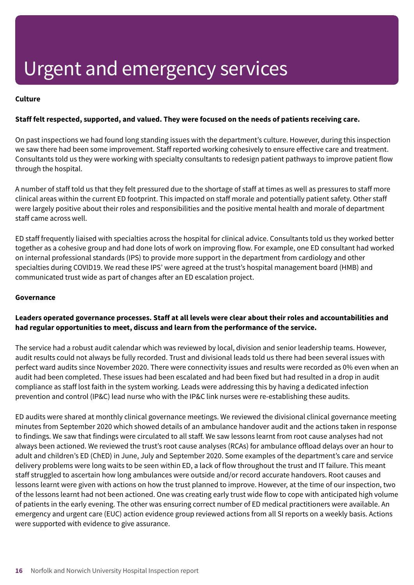#### **Culture**

#### **Staff felt respected, supported, and valued. They were focused on the needs of patients receiving care.**

On past inspections we had found long standing issues with the department's culture. However, during this inspection we saw there had been some improvement. Staff reported working cohesively to ensure effective care and treatment. Consultants told us they were working with specialty consultants to redesign patient pathways to improve patient flow through the hospital.

A number of staff told us that they felt pressured due to the shortage of staff at times as well as pressures to staff more clinical areas within the current ED footprint. This impacted on staff morale and potentially patient safety. Other staff were largely positive about their roles and responsibilities and the positive mental health and morale of department staff came across well.

ED staff frequently liaised with specialties across the hospital for clinical advice. Consultants told us they worked better together as a cohesive group and had done lots of work on improving flow. For example, one ED consultant had worked on internal professional standards (IPS) to provide more support in the department from cardiology and other specialties during COVID19. We read these IPS' were agreed at the trust's hospital management board (HMB) and communicated trust wide as part of changes after an ED escalation project.

#### **Governance**

#### **Leaders operated governance processes. Staff at all levels were clear about their roles and accountabilities and had regular opportunities to meet, discuss and learn from the performance of the service.**

The service had a robust audit calendar which was reviewed by local, division and senior leadership teams. However, audit results could not always be fully recorded. Trust and divisional leads told us there had been several issues with perfect ward audits since November 2020. There were connectivity issues and results were recorded as 0% even when an audit had been completed. These issues had been escalated and had been fixed but had resulted in a drop in audit compliance as staff lost faith in the system working. Leads were addressing this by having a dedicated infection prevention and control (IP&C) lead nurse who with the IP&C link nurses were re-establishing these audits.

ED audits were shared at monthly clinical governance meetings. We reviewed the divisional clinical governance meeting minutes from September 2020 which showed details of an ambulance handover audit and the actions taken in response to findings. We saw that findings were circulated to all staff. We saw lessons learnt from root cause analyses had not always been actioned. We reviewed the trust's root cause analyses (RCAs) for ambulance offload delays over an hour to adult and children's ED (ChED) in June, July and September 2020. Some examples of the department's care and service delivery problems were long waits to be seen within ED, a lack of flow throughout the trust and IT failure. This meant staff struggled to ascertain how long ambulances were outside and/or record accurate handovers. Root causes and lessons learnt were given with actions on how the trust planned to improve. However, at the time of our inspection, two of the lessons learnt had not been actioned. One was creating early trust wide flow to cope with anticipated high volume of patients in the early evening. The other was ensuring correct number of ED medical practitioners were available. An emergency and urgent care (EUC) action evidence group reviewed actions from all SI reports on a weekly basis. Actions were supported with evidence to give assurance.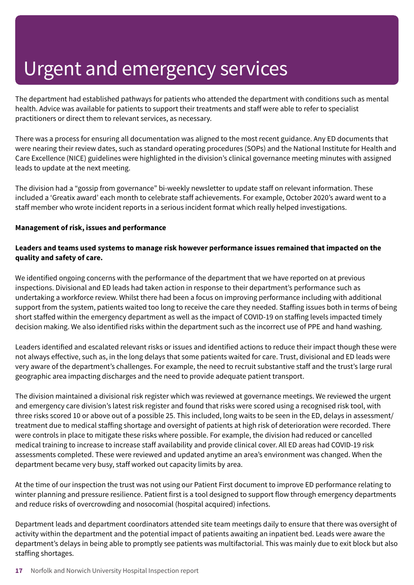The department had established pathways for patients who attended the department with conditions such as mental health. Advice was available for patients to support their treatments and staff were able to refer to specialist practitioners or direct them to relevant services, as necessary.

There was a process for ensuring all documentation was aligned to the most recent guidance. Any ED documents that were nearing their review dates, such as standard operating procedures (SOPs) and the National Institute for Health and Care Excellence (NICE) guidelines were highlighted in the division's clinical governance meeting minutes with assigned leads to update at the next meeting.

The division had a "gossip from governance" bi-weekly newsletter to update staff on relevant information. These included a 'Greatix award' each month to celebrate staff achievements. For example, October 2020's award went to a staff member who wrote incident reports in a serious incident format which really helped investigations.

#### **Management of risk, issues and performance**

#### **Leaders and teams used systems to manage risk however performance issues remained that impacted on the quality and safety of care.**

We identified ongoing concerns with the performance of the department that we have reported on at previous inspections. Divisional and ED leads had taken action in response to their department's performance such as undertaking a workforce review. Whilst there had been a focus on improving performance including with additional support from the system, patients waited too long to receive the care they needed. Staffing issues both in terms of being short staffed within the emergency department as well as the impact of COVID-19 on staffing levels impacted timely decision making. We also identified risks within the department such as the incorrect use of PPE and hand washing.

Leaders identified and escalated relevant risks or issues and identified actions to reduce their impact though these were not always effective, such as, in the long delays that some patients waited for care. Trust, divisional and ED leads were very aware of the department's challenges. For example, the need to recruit substantive staff and the trust's large rural geographic area impacting discharges and the need to provide adequate patient transport.

The division maintained a divisional risk register which was reviewed at governance meetings. We reviewed the urgent and emergency care division's latest risk register and found that risks were scored using a recognised risk tool, with three risks scored 10 or above out of a possible 25. This included, long waits to be seen in the ED, delays in assessment/ treatment due to medical staffing shortage and oversight of patients at high risk of deterioration were recorded. There were controls in place to mitigate these risks where possible. For example, the division had reduced or cancelled medical training to increase to increase staff availability and provide clinical cover. All ED areas had COVID-19 risk assessments completed. These were reviewed and updated anytime an area's environment was changed. When the department became very busy, staff worked out capacity limits by area.

At the time of our inspection the trust was not using our Patient First document to improve ED performance relating to winter planning and pressure resilience. Patient first is a tool designed to support flow through emergency departments and reduce risks of overcrowding and nosocomial (hospital acquired) infections.

Department leads and department coordinators attended site team meetings daily to ensure that there was oversight of activity within the department and the potential impact of patients awaiting an inpatient bed. Leads were aware the department's delays in being able to promptly see patients was multifactorial. This was mainly due to exit block but also staffing shortages.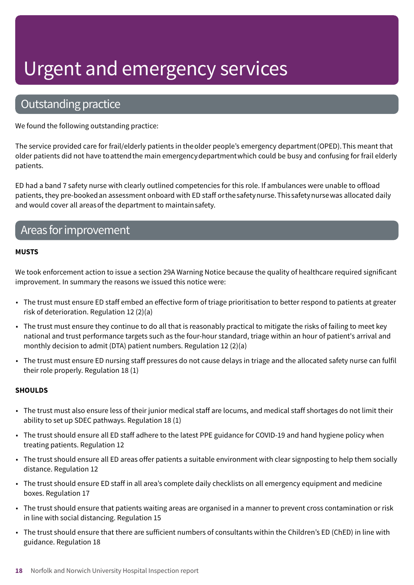### Outstanding practice

We found the following outstanding practice:

The service provided care for frail/elderly patients in theolder people's emergency department(OPED).This meant that older patients did not have toattendthe main emergencydepartmentwhich could be busy and confusing for frail elderly patients.

ED had a band 7 safety nurse with clearly outlined competencies for this role. If ambulances were unable to offload patients, they pre-bookedan assessment onboard with ED staff orthesafetynurse.Thissafetynursewas allocated daily and would cover all areasof the department to maintainsafety.

### Areas for improvement

#### **MUSTS**

We took enforcement action to issue a section 29A Warning Notice because the quality of healthcare required significant improvement. In summary the reasons we issued this notice were:

- The trust must ensure ED staff embed an effective form of triage prioritisation to better respond to patients at greater risk of deterioration. Regulation 12 (2)(a)
- The trust must ensure they continue to do all that is reasonably practical to mitigate the risks of failing to meet key national and trust performance targets such as the four-hour standard, triage within an hour of patient's arrival and monthly decision to admit (DTA) patient numbers. Regulation 12 (2)(a)
- The trust must ensure ED nursing staff pressures do not cause delays in triage and the allocated safety nurse can fulfil their role properly. Regulation 18 (1)

#### **SHOULDS**

- The trust must also ensure less of their junior medical staff are locums, and medical staff shortages do not limit their ability to set up SDEC pathways. Regulation 18 (1)
- The trust should ensure all ED staff adhere to the latest PPE guidance for COVID-19 and hand hygiene policy when treating patients. Regulation 12
- The trust should ensure all ED areas offer patients a suitable environment with clear signposting to help them socially distance. Regulation 12
- The trust should ensure ED staff in all area's complete daily checklists on all emergency equipment and medicine boxes. Regulation 17
- The trust should ensure that patients waiting areas are organised in a manner to prevent cross contamination or risk in line with social distancing. Regulation 15
- The trust should ensure that there are sufficient numbers of consultants within the Children's ED (ChED) in line with guidance. Regulation 18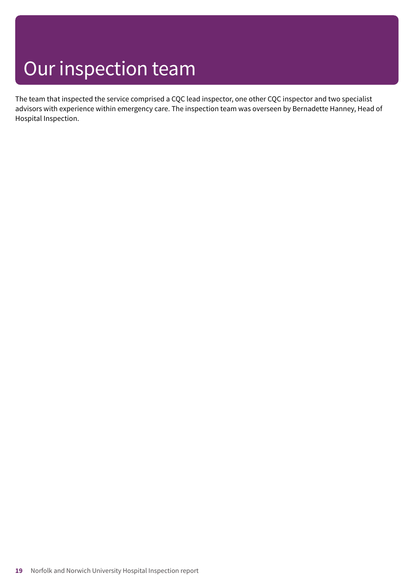## Our inspection team

The team that inspected the service comprised a CQC lead inspector, one other CQC inspector and two specialist advisors with experience within emergency care. The inspection team was overseen by Bernadette Hanney, Head of Hospital Inspection.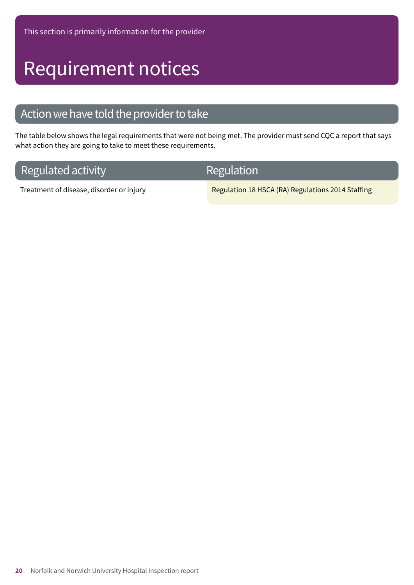## Requirement notices

### Action we have told the provider to take

The table below shows the legal requirements that were not being met. The provider must send CQC a report that says what action they are going to take to meet these requirements.

### **Regulated activity**

Regulation

Treatment of disease, disorder or injury Regulation 18 HSCA (RA) Regulations 2014 Staffing